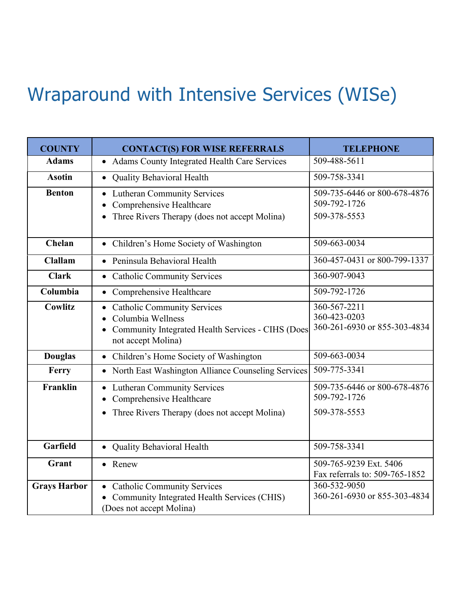## Wraparound with Intensive Services (WISe)

| <b>COUNTY</b>       | <b>CONTACT(S) FOR WISE REFERRALS</b>                                                                                          | <b>TELEPHONE</b>                                             |
|---------------------|-------------------------------------------------------------------------------------------------------------------------------|--------------------------------------------------------------|
| <b>Adams</b>        | • Adams County Integrated Health Care Services                                                                                | 509-488-5611                                                 |
| <b>Asotin</b>       | • Quality Behavioral Health                                                                                                   | 509-758-3341                                                 |
| <b>Benton</b>       | • Lutheran Community Services<br>Comprehensive Healthcare<br>Three Rivers Therapy (does not accept Molina)                    | 509-735-6446 or 800-678-4876<br>509-792-1726<br>509-378-5553 |
| Chelan              | • Children's Home Society of Washington                                                                                       | 509-663-0034                                                 |
| <b>Clallam</b>      | • Peninsula Behavioral Health                                                                                                 | 360-457-0431 or 800-799-1337                                 |
| <b>Clark</b>        | • Catholic Community Services                                                                                                 | 360-907-9043                                                 |
| Columbia            | • Comprehensive Healthcare                                                                                                    | 509-792-1726                                                 |
| <b>Cowlitz</b>      | • Catholic Community Services<br>Columbia Wellness<br>Community Integrated Health Services - CIHS (Does<br>not accept Molina) | 360-567-2211<br>360-423-0203<br>360-261-6930 or 855-303-4834 |
| <b>Douglas</b>      | • Children's Home Society of Washington                                                                                       | 509-663-0034                                                 |
| Ferry               | • North East Washington Alliance Counseling Services                                                                          | 509-775-3341                                                 |
| Franklin            | • Lutheran Community Services<br>Comprehensive Healthcare<br>Three Rivers Therapy (does not accept Molina)                    | 509-735-6446 or 800-678-4876<br>509-792-1726<br>509-378-5553 |
| Garfield            | • Quality Behavioral Health                                                                                                   | 509-758-3341                                                 |
| Grant               | • Renew                                                                                                                       | 509-765-9239 Ext. 5406<br>Fax referrals to: 509-765-1852     |
| <b>Grays Harbor</b> | <b>Catholic Community Services</b><br>Community Integrated Health Services (CHIS)<br>(Does not accept Molina)                 | 360-532-9050<br>360-261-6930 or 855-303-4834                 |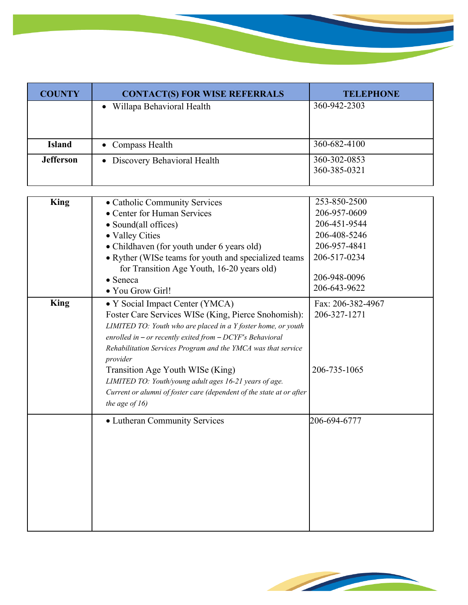| <b>COUNTY</b>    | <b>CONTACT(S) FOR WISE REFERRALS</b> | <b>TELEPHONE</b>             |
|------------------|--------------------------------------|------------------------------|
|                  | • Willapa Behavioral Health          | 360-942-2303                 |
| <b>Island</b>    | • Compass Health                     | 360-682-4100                 |
| <b>Jefferson</b> | • Discovery Behavioral Health        | 360-302-0853<br>360-385-0321 |

| <b>King</b> | • Catholic Community Services                                        | 253-850-2500      |
|-------------|----------------------------------------------------------------------|-------------------|
|             | • Center for Human Services                                          | 206-957-0609      |
|             | • Sound(all offices)                                                 | 206-451-9544      |
|             | • Valley Cities                                                      | 206-408-5246      |
|             | • Childhaven (for youth under 6 years old)                           | 206-957-4841      |
|             | • Ryther (WISe teams for youth and specialized teams                 | 206-517-0234      |
|             | for Transition Age Youth, 16-20 years old)                           |                   |
|             | • Seneca                                                             | 206-948-0096      |
|             | · You Grow Girl!                                                     | 206-643-9622      |
| King        | • Y Social Impact Center (YMCA)                                      | Fax: 206-382-4967 |
|             | Foster Care Services WISe (King, Pierce Snohomish):                  | 206-327-1271      |
|             | LIMITED TO: Youth who are placed in a Y foster home, or youth        |                   |
|             | enrolled in - or recently exited from $-$ DCYF's Behavioral          |                   |
|             | Rehabilitation Services Program and the YMCA was that service        |                   |
|             | provider                                                             |                   |
|             | Transition Age Youth WISe (King)                                     | 206-735-1065      |
|             | LIMITED TO: Youth/young adult ages 16-21 years of age.               |                   |
|             | Current or alumni of foster care (dependent of the state at or after |                   |
|             | the age of $16$ )                                                    |                   |
|             | • Lutheran Community Services                                        | 206-694-6777      |
|             |                                                                      |                   |
|             |                                                                      |                   |
|             |                                                                      |                   |
|             |                                                                      |                   |
|             |                                                                      |                   |
|             |                                                                      |                   |
|             |                                                                      |                   |
|             |                                                                      |                   |
|             |                                                                      |                   |
|             |                                                                      |                   |

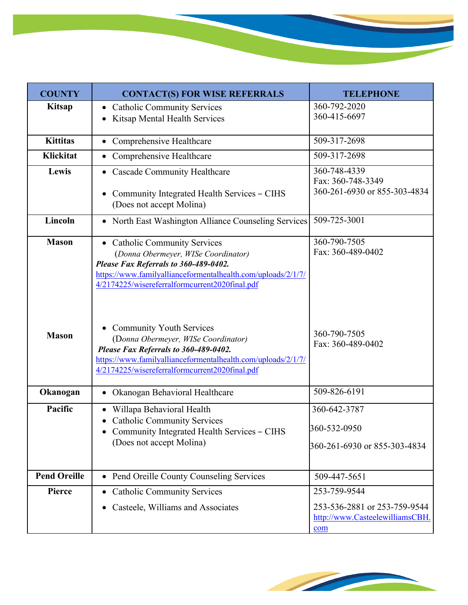| <b>COUNTY</b>       | <b>CONTACT(S) FOR WISE REFERRALS</b>                                                                                                                                                                                              | <b>TELEPHONE</b>                                                       |
|---------------------|-----------------------------------------------------------------------------------------------------------------------------------------------------------------------------------------------------------------------------------|------------------------------------------------------------------------|
| <b>Kitsap</b>       | • Catholic Community Services<br>Kitsap Mental Health Services                                                                                                                                                                    | 360-792-2020<br>360-415-6697                                           |
| <b>Kittitas</b>     | Comprehensive Healthcare                                                                                                                                                                                                          | 509-317-2698                                                           |
| <b>Klickitat</b>    | • Comprehensive Healthcare                                                                                                                                                                                                        | 509-317-2698                                                           |
| Lewis               | • Cascade Community Healthcare<br>Community Integrated Health Services - CIHS<br>(Does not accept Molina)                                                                                                                         | 360-748-4339<br>Fax: 360-748-3349<br>360-261-6930 or 855-303-4834      |
| Lincoln             | • North East Washington Alliance Counseling Services                                                                                                                                                                              | 509-725-3001                                                           |
| <b>Mason</b>        | • Catholic Community Services<br>(Donna Obermeyer, WISe Coordinator)<br>Please Fax Referrals to 360-489-0402.<br>https://www.familyallianceformentalhealth.com/uploads/2/1/7/<br>4/2174225/wisereferralformcurrent2020final.pdf   | 360-790-7505<br>Fax: 360-489-0402                                      |
| <b>Mason</b>        | <b>Community Youth Services</b><br>(Donna Obermeyer, WISe Coordinator)<br>Please Fax Referrals to 360-489-0402.<br>https://www.familyallianceformentalhealth.com/uploads/2/1/7/<br>4/2174225/wisereferralformcurrent2020final.pdf | 360-790-7505<br>Fax: 360-489-0402                                      |
| Okanogan            | Okanogan Behavioral Healthcare                                                                                                                                                                                                    | 509-826-6191                                                           |
| Pacific             | Willapa Behavioral Health<br>• Catholic Community Services<br>Community Integrated Health Services - CIHS<br>(Does not accept Molina)                                                                                             | 360-642-3787<br>360-532-0950<br>360-261-6930 or 855-303-4834           |
| <b>Pend Oreille</b> | • Pend Oreille County Counseling Services                                                                                                                                                                                         | 509-447-5651                                                           |
| Pierce              | • Catholic Community Services                                                                                                                                                                                                     | 253-759-9544                                                           |
|                     | Casteele, Williams and Associates                                                                                                                                                                                                 | 253-536-2881 or 253-759-9544<br>http://www.CasteelewilliamsCBH.<br>com |

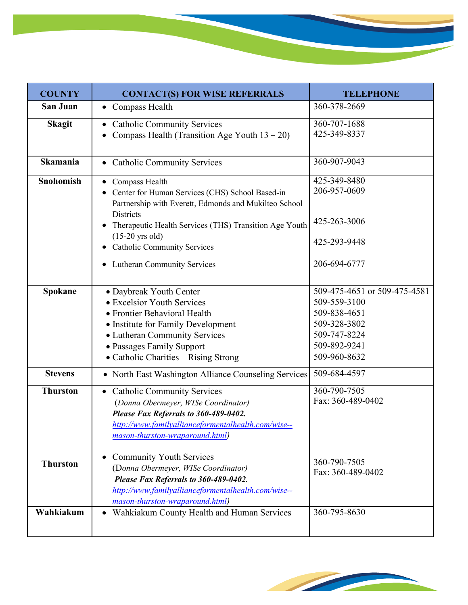| <b>COUNTY</b>    | <b>CONTACT(S) FOR WISE REFERRALS</b>                                                                                                                                                                                                                                                                        | <b>TELEPHONE</b>                                                                                                             |
|------------------|-------------------------------------------------------------------------------------------------------------------------------------------------------------------------------------------------------------------------------------------------------------------------------------------------------------|------------------------------------------------------------------------------------------------------------------------------|
| San Juan         | • Compass Health                                                                                                                                                                                                                                                                                            | 360-378-2669                                                                                                                 |
| <b>Skagit</b>    | • Catholic Community Services<br>Compass Health (Transition Age Youth $13 - 20$ )                                                                                                                                                                                                                           | 360-707-1688<br>425-349-8337                                                                                                 |
| <b>Skamania</b>  | • Catholic Community Services                                                                                                                                                                                                                                                                               | 360-907-9043                                                                                                                 |
| <b>Snohomish</b> | • Compass Health<br>Center for Human Services (CHS) School Based-in<br>Partnership with Everett, Edmonds and Mukilteo School<br><b>Districts</b><br>Therapeutic Health Services (THS) Transition Age Youth<br>$(15-20$ yrs old)<br><b>Catholic Community Services</b><br><b>Lutheran Community Services</b> | 425-349-8480<br>206-957-0609<br>425-263-3006<br>425-293-9448<br>206-694-6777                                                 |
| Spokane          | • Daybreak Youth Center<br>• Excelsior Youth Services<br>• Frontier Behavioral Health<br>• Institute for Family Development<br>• Lutheran Community Services<br>• Passages Family Support<br>· Catholic Charities - Rising Strong                                                                           | 509-475-4651 or 509-475-4581<br>509-559-3100<br>509-838-4651<br>509-328-3802<br>509-747-8224<br>509-892-9241<br>509-960-8632 |
| <b>Stevens</b>   | • North East Washington Alliance Counseling Services                                                                                                                                                                                                                                                        | 509-684-4597                                                                                                                 |
| <b>Thurston</b>  | • Catholic Community Services<br>(Donna Obermeyer, WISe Coordinator)<br>Please Fax Referrals to 360-489-0402.<br>http://www.familyallianceformentalhealth.com/wise--<br>mason-thurston-wraparound.html)                                                                                                     | 360-790-7505<br>Fax: 360-489-0402                                                                                            |
| <b>Thurston</b>  | <b>Community Youth Services</b><br>(Donna Obermeyer, WISe Coordinator)<br>Please Fax Referrals to 360-489-0402.<br>http://www.familyallianceformentalhealth.com/wise--<br>mason-thurston-wraparound.html)                                                                                                   | 360-790-7505<br>Fax: 360-489-0402                                                                                            |
| Wahkiakum        | • Wahkiakum County Health and Human Services                                                                                                                                                                                                                                                                | 360-795-8630                                                                                                                 |



<u> Tanzania (</u>